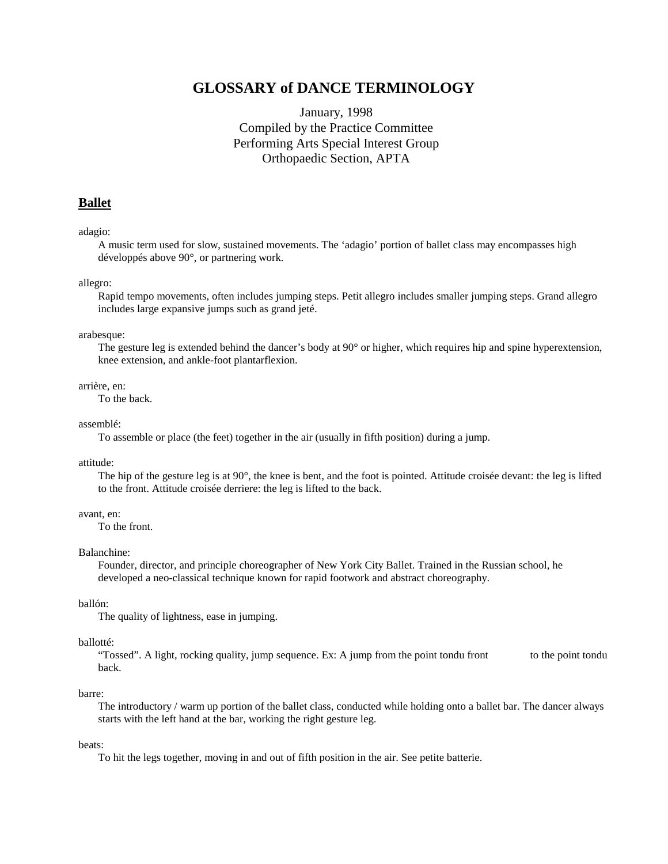# **GLOSSARY of DANCE TERMINOLOGY**

# January, 1998 Compiled by the Practice Committee Performing Arts Special Interest Group Orthopaedic Section, APTA

## **Ballet**

## adagio:

 A music term used for slow, sustained movements. The 'adagio' portion of ballet class may encompasses high développés above 90°, or partnering work.

## allegro:

 Rapid tempo movements, often includes jumping steps. Petit allegro includes smaller jumping steps. Grand allegro includes large expansive jumps such as grand jeté.

## arabesque:

 The gesture leg is extended behind the dancer's body at 90° or higher, which requires hip and spine hyperextension, knee extension, and ankle-foot plantarflexion.

## arrière, en:

To the back.

## assemblé:

To assemble or place (the feet) together in the air (usually in fifth position) during a jump.

### attitude:

 The hip of the gesture leg is at 90°, the knee is bent, and the foot is pointed. Attitude croisée devant: the leg is lifted to the front. Attitude croisée derriere: the leg is lifted to the back.

## avant, en:

To the front.

## Balanchine:

 Founder, director, and principle choreographer of New York City Ballet. Trained in the Russian school, he developed a neo-classical technique known for rapid footwork and abstract choreography.

## ballón:

The quality of lightness, ease in jumping.

## ballotté:

"Tossed". A light, rocking quality, jump sequence. Ex: A jump from the point tondu front to the point tondu back.

#### barre:

 The introductory / warm up portion of the ballet class, conducted while holding onto a ballet bar. The dancer always starts with the left hand at the bar, working the right gesture leg.

## beats:

To hit the legs together, moving in and out of fifth position in the air. See petite batterie.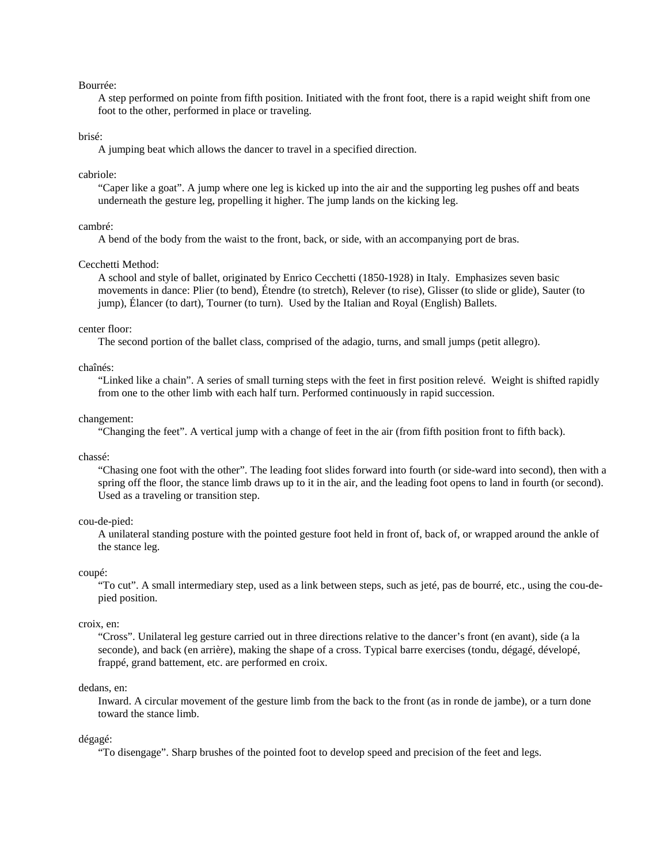## Bourrée:

 A step performed on pointe from fifth position. Initiated with the front foot, there is a rapid weight shift from one foot to the other, performed in place or traveling.

## brisé:

A jumping beat which allows the dancer to travel in a specified direction.

## cabriole:

 "Caper like a goat". A jump where one leg is kicked up into the air and the supporting leg pushes off and beats underneath the gesture leg, propelling it higher. The jump lands on the kicking leg.

## cambré:

A bend of the body from the waist to the front, back, or side, with an accompanying port de bras.

#### Cecchetti Method:

 A school and style of ballet, originated by Enrico Cecchetti (1850-1928) in Italy. Emphasizes seven basic movements in dance: Plier (to bend), Étendre (to stretch), Relever (to rise), Glisser (to slide or glide), Sauter (to jump), Élancer (to dart), Tourner (to turn). Used by the Italian and Royal (English) Ballets.

## center floor:

The second portion of the ballet class, comprised of the adagio, turns, and small jumps (petit allegro).

## chaînés:

 "Linked like a chain". A series of small turning steps with the feet in first position relevé. Weight is shifted rapidly from one to the other limb with each half turn. Performed continuously in rapid succession.

## changement:

"Changing the feet". A vertical jump with a change of feet in the air (from fifth position front to fifth back).

### chassé:

 "Chasing one foot with the other". The leading foot slides forward into fourth (or side-ward into second), then with a spring off the floor, the stance limb draws up to it in the air, and the leading foot opens to land in fourth (or second). Used as a traveling or transition step.

#### cou-de-pied:

 A unilateral standing posture with the pointed gesture foot held in front of, back of, or wrapped around the ankle of the stance leg.

#### coupé:

 "To cut". A small intermediary step, used as a link between steps, such as jeté, pas de bourré, etc., using the cou-depied position.

#### croix, en:

 "Cross". Unilateral leg gesture carried out in three directions relative to the dancer's front (en avant), side (a la seconde), and back (en arrière), making the shape of a cross. Typical barre exercises (tondu, dégagé, dévelopé, frappé, grand battement, etc. are performed en croix.

### dedans, en:

 Inward. A circular movement of the gesture limb from the back to the front (as in ronde de jambe), or a turn done toward the stance limb.

#### dégagé:

"To disengage". Sharp brushes of the pointed foot to develop speed and precision of the feet and legs.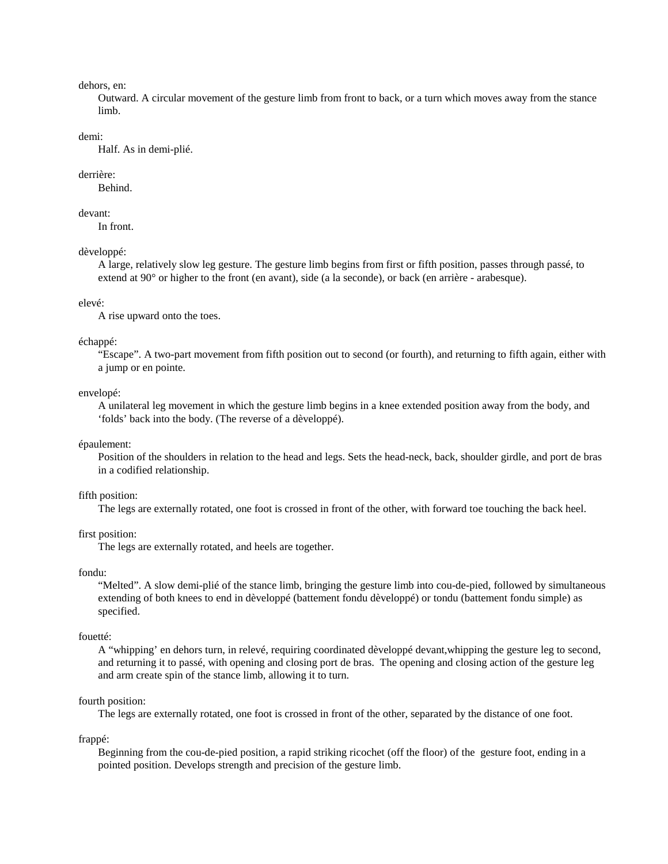## dehors, en:

 Outward. A circular movement of the gesture limb from front to back, or a turn which moves away from the stance limb.

## demi:

Half. As in demi-plié.

### derrière:

Behind.

## devant:

In front.

## dèveloppé:

 A large, relatively slow leg gesture. The gesture limb begins from first or fifth position, passes through passé, to extend at 90° or higher to the front (en avant), side (a la seconde), or back (en arrière - arabesque).

### elevé:

A rise upward onto the toes.

### échappé:

 "Escape". A two-part movement from fifth position out to second (or fourth), and returning to fifth again, either with a jump or en pointe.

#### envelopé:

 A unilateral leg movement in which the gesture limb begins in a knee extended position away from the body, and 'folds' back into the body. (The reverse of a dèveloppé).

### épaulement:

 Position of the shoulders in relation to the head and legs. Sets the head-neck, back, shoulder girdle, and port de bras in a codified relationship.

## fifth position:

The legs are externally rotated, one foot is crossed in front of the other, with forward toe touching the back heel.

## first position:

The legs are externally rotated, and heels are together.

#### fondu:

 "Melted". A slow demi-plié of the stance limb, bringing the gesture limb into cou-de-pied, followed by simultaneous extending of both knees to end in dèveloppé (battement fondu dèveloppé) or tondu (battement fondu simple) as specified.

## fouetté:

 A "whipping' en dehors turn, in relevé, requiring coordinated dèveloppé devant,whipping the gesture leg to second, and returning it to passé, with opening and closing port de bras. The opening and closing action of the gesture leg and arm create spin of the stance limb, allowing it to turn.

### fourth position:

The legs are externally rotated, one foot is crossed in front of the other, separated by the distance of one foot.

frappé:

 Beginning from the cou-de-pied position, a rapid striking ricochet (off the floor) of the gesture foot, ending in a pointed position. Develops strength and precision of the gesture limb.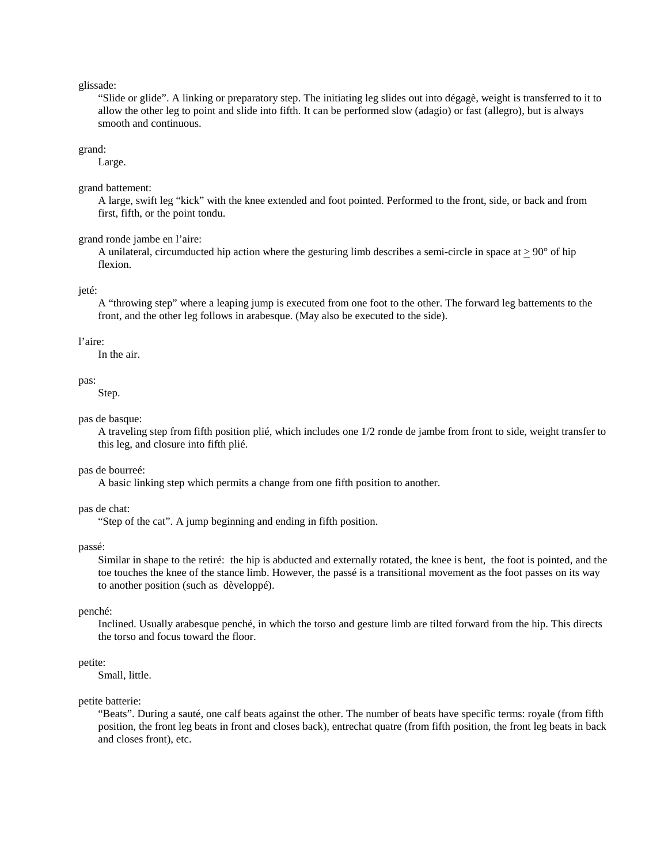glissade:

 "Slide or glide". A linking or preparatory step. The initiating leg slides out into dégagè, weight is transferred to it to allow the other leg to point and slide into fifth. It can be performed slow (adagio) or fast (allegro), but is always smooth and continuous.

grand:

Large.

grand battement:

 A large, swift leg "kick" with the knee extended and foot pointed. Performed to the front, side, or back and from first, fifth, or the point tondu.

## grand ronde jambe en l'aire:

A unilateral, circumducted hip action where the gesturing limb describes a semi-circle in space at  $\geq 90^{\circ}$  of hip flexion.

jeté:

 A "throwing step" where a leaping jump is executed from one foot to the other. The forward leg battements to the front, and the other leg follows in arabesque. (May also be executed to the side).

### l'aire:

In the air.

#### pas:

Step.

## pas de basque:

 A traveling step from fifth position plié, which includes one 1/2 ronde de jambe from front to side, weight transfer to this leg, and closure into fifth plié.

## pas de bourreé:

A basic linking step which permits a change from one fifth position to another.

pas de chat:

"Step of the cat". A jump beginning and ending in fifth position.

passé:

 Similar in shape to the retiré: the hip is abducted and externally rotated, the knee is bent, the foot is pointed, and the toe touches the knee of the stance limb. However, the passé is a transitional movement as the foot passes on its way to another position (such as dèveloppé).

## penché:

 Inclined. Usually arabesque penché, in which the torso and gesture limb are tilted forward from the hip. This directs the torso and focus toward the floor.

## petite:

Small, little.

## petite batterie:

 "Beats". During a sauté, one calf beats against the other. The number of beats have specific terms: royale (from fifth position, the front leg beats in front and closes back), entrechat quatre (from fifth position, the front leg beats in back and closes front), etc.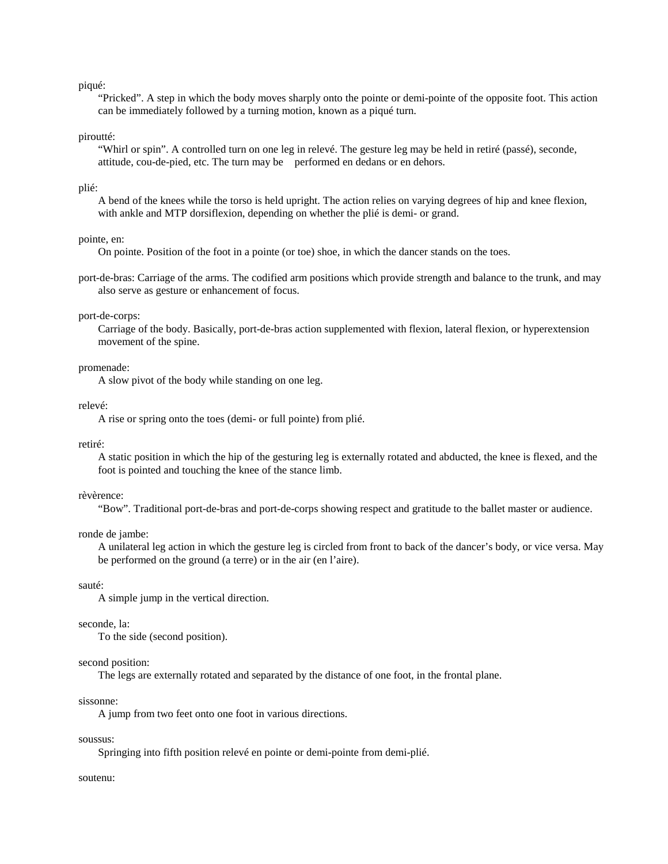## piqué:

 "Pricked". A step in which the body moves sharply onto the pointe or demi-pointe of the opposite foot. This action can be immediately followed by a turning motion, known as a piqué turn.

## piroutté:

 "Whirl or spin". A controlled turn on one leg in relevé. The gesture leg may be held in retiré (passé), seconde, attitude, cou-de-pied, etc. The turn may be performed en dedans or en dehors.

## plié:

 A bend of the knees while the torso is held upright. The action relies on varying degrees of hip and knee flexion, with ankle and MTP dorsiflexion, depending on whether the plié is demi- or grand.

## pointe, en:

On pointe. Position of the foot in a pointe (or toe) shoe, in which the dancer stands on the toes.

port-de-bras: Carriage of the arms. The codified arm positions which provide strength and balance to the trunk, and may also serve as gesture or enhancement of focus.

## port-de-corps:

 Carriage of the body. Basically, port-de-bras action supplemented with flexion, lateral flexion, or hyperextension movement of the spine.

### promenade:

A slow pivot of the body while standing on one leg.

#### relevé:

A rise or spring onto the toes (demi- or full pointe) from plié.

### retiré:

 A static position in which the hip of the gesturing leg is externally rotated and abducted, the knee is flexed, and the foot is pointed and touching the knee of the stance limb.

#### rèvèrence:

"Bow". Traditional port-de-bras and port-de-corps showing respect and gratitude to the ballet master or audience.

## ronde de jambe:

 A unilateral leg action in which the gesture leg is circled from front to back of the dancer's body, or vice versa. May be performed on the ground (a terre) or in the air (en l'aire).

## sauté:

A simple jump in the vertical direction.

#### seconde, la:

To the side (second position).

#### second position:

The legs are externally rotated and separated by the distance of one foot, in the frontal plane.

## sissonne:

A jump from two feet onto one foot in various directions.

#### soussus:

Springing into fifth position relevé en pointe or demi-pointe from demi-plié.

#### soutenu: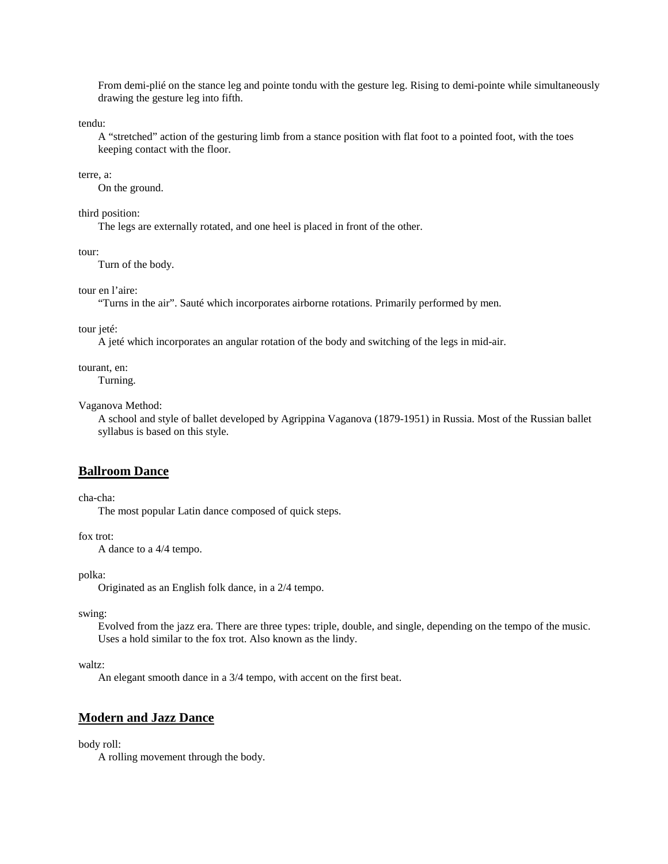From demi-plié on the stance leg and pointe tondu with the gesture leg. Rising to demi-pointe while simultaneously drawing the gesture leg into fifth.

tendu:

 A "stretched" action of the gesturing limb from a stance position with flat foot to a pointed foot, with the toes keeping contact with the floor.

## terre, a:

On the ground.

### third position:

The legs are externally rotated, and one heel is placed in front of the other.

tour:

Turn of the body.

#### tour en l'aire:

"Turns in the air". Sauté which incorporates airborne rotations. Primarily performed by men.

## tour jeté:

A jeté which incorporates an angular rotation of the body and switching of the legs in mid-air.

#### tourant, en:

Turning.

### Vaganova Method:

 A school and style of ballet developed by Agrippina Vaganova (1879-1951) in Russia. Most of the Russian ballet syllabus is based on this style.

## **Ballroom Dance**

cha-cha:

The most popular Latin dance composed of quick steps.

## fox trot:

A dance to a 4/4 tempo.

polka:

Originated as an English folk dance, in a 2/4 tempo.

swing:

 Evolved from the jazz era. There are three types: triple, double, and single, depending on the tempo of the music. Uses a hold similar to the fox trot. Also known as the lindy.

## waltz:

An elegant smooth dance in a 3/4 tempo, with accent on the first beat.

## **Modern and Jazz Dance**

## body roll:

A rolling movement through the body.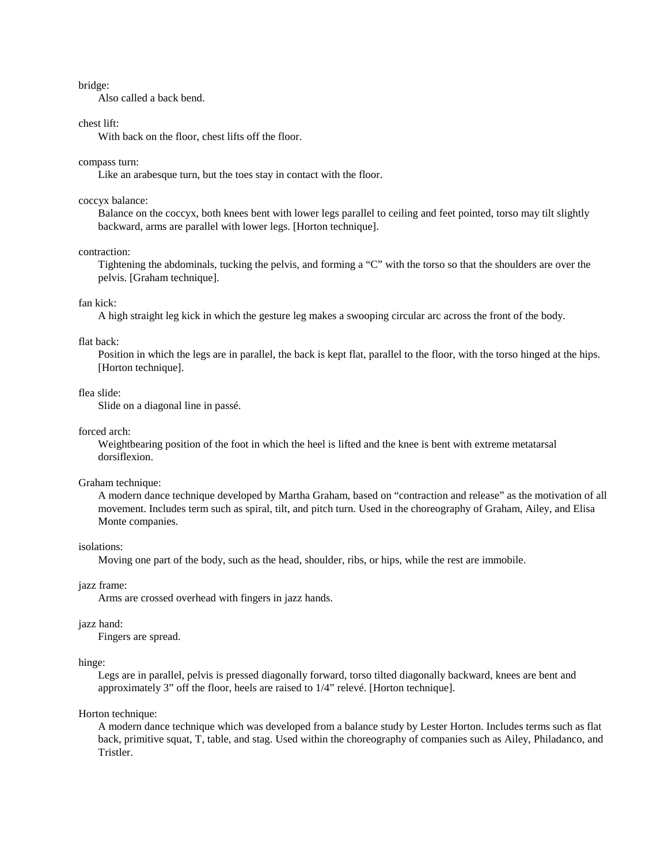## bridge:

Also called a back bend.

### chest lift:

With back on the floor, chest lifts off the floor.

#### compass turn:

Like an arabesque turn, but the toes stay in contact with the floor.

#### coccyx balance:

 Balance on the coccyx, both knees bent with lower legs parallel to ceiling and feet pointed, torso may tilt slightly backward, arms are parallel with lower legs. [Horton technique].

## contraction:

 Tightening the abdominals, tucking the pelvis, and forming a "C" with the torso so that the shoulders are over the pelvis. [Graham technique].

## fan kick:

A high straight leg kick in which the gesture leg makes a swooping circular arc across the front of the body.

## flat back:

 Position in which the legs are in parallel, the back is kept flat, parallel to the floor, with the torso hinged at the hips. [Horton technique].

#### flea slide:

Slide on a diagonal line in passé.

## forced arch:

 Weightbearing position of the foot in which the heel is lifted and the knee is bent with extreme metatarsal dorsiflexion.

#### Graham technique:

 A modern dance technique developed by Martha Graham, based on "contraction and release" as the motivation of all movement. Includes term such as spiral, tilt, and pitch turn. Used in the choreography of Graham, Ailey, and Elisa Monte companies.

## isolations:

Moving one part of the body, such as the head, shoulder, ribs, or hips, while the rest are immobile.

## jazz frame:

Arms are crossed overhead with fingers in jazz hands.

## jazz hand:

Fingers are spread.

### hinge:

 Legs are in parallel, pelvis is pressed diagonally forward, torso tilted diagonally backward, knees are bent and approximately 3" off the floor, heels are raised to 1/4" relevé. [Horton technique].

### Horton technique:

 A modern dance technique which was developed from a balance study by Lester Horton. Includes terms such as flat back, primitive squat, T, table, and stag. Used within the choreography of companies such as Ailey, Philadanco, and Tristler.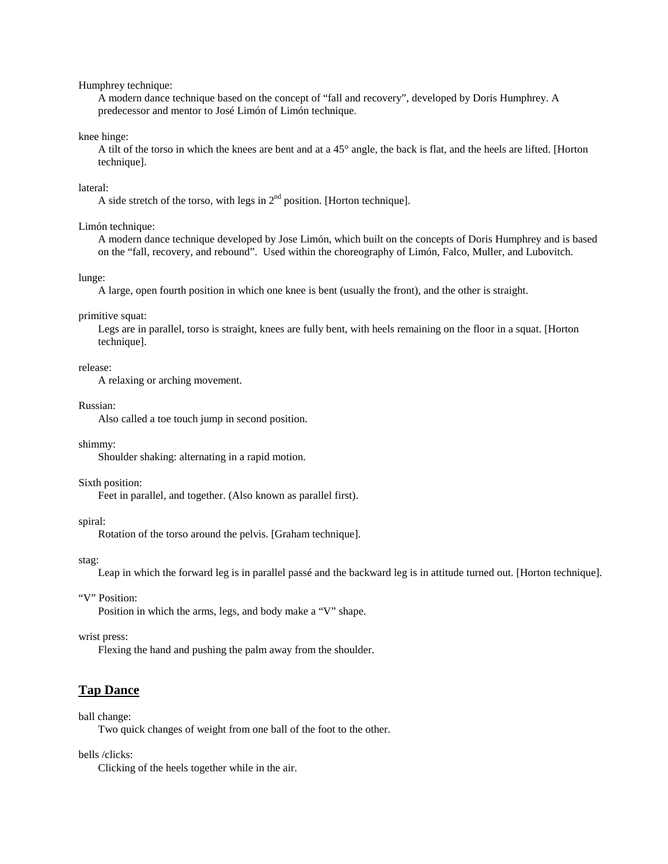## Humphrey technique:

 A modern dance technique based on the concept of "fall and recovery", developed by Doris Humphrey. A predecessor and mentor to José Limón of Limón technique.

## knee hinge:

 A tilt of the torso in which the knees are bent and at a 45° angle, the back is flat, and the heels are lifted. [Horton technique].

### lateral:

A side stretch of the torso, with legs in  $2<sup>nd</sup>$  position. [Horton technique].

## Limón technique:

 A modern dance technique developed by Jose Limón, which built on the concepts of Doris Humphrey and is based on the "fall, recovery, and rebound". Used within the choreography of Limón, Falco, Muller, and Lubovitch.

#### lunge:

A large, open fourth position in which one knee is bent (usually the front), and the other is straight.

## primitive squat:

 Legs are in parallel, torso is straight, knees are fully bent, with heels remaining on the floor in a squat. [Horton technique].

### release:

A relaxing or arching movement.

#### Russian:

Also called a toe touch jump in second position.

### shimmy:

Shoulder shaking: alternating in a rapid motion.

#### Sixth position:

Feet in parallel, and together. (Also known as parallel first).

#### spiral:

Rotation of the torso around the pelvis. [Graham technique].

#### stag:

Leap in which the forward leg is in parallel passé and the backward leg is in attitude turned out. [Horton technique].

## "V" Position:

Position in which the arms, legs, and body make a "V" shape.

## wrist press:

Flexing the hand and pushing the palm away from the shoulder.

## **Tap Dance**

#### ball change:

Two quick changes of weight from one ball of the foot to the other.

bells /clicks:

Clicking of the heels together while in the air.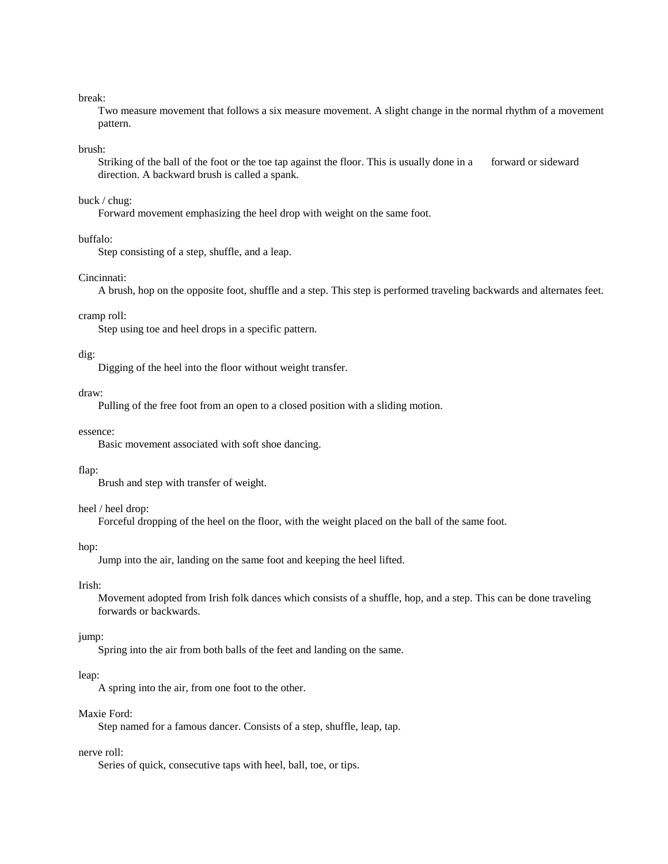## break:

 Two measure movement that follows a six measure movement. A slight change in the normal rhythm of a movement pattern.

## brush:

Striking of the ball of the foot or the toe tap against the floor. This is usually done in a forward or sideward direction. A backward brush is called a spank.

### buck / chug:

Forward movement emphasizing the heel drop with weight on the same foot.

## buffalo:

Step consisting of a step, shuffle, and a leap.

### Cincinnati:

A brush, hop on the opposite foot, shuffle and a step. This step is performed traveling backwards and alternates feet.

## cramp roll:

Step using toe and heel drops in a specific pattern.

## dig:

Digging of the heel into the floor without weight transfer.

#### draw:

Pulling of the free foot from an open to a closed position with a sliding motion.

## essence:

Basic movement associated with soft shoe dancing.

#### flap:

Brush and step with transfer of weight.

## heel / heel drop:

Forceful dropping of the heel on the floor, with the weight placed on the ball of the same foot.

## hop:

Jump into the air, landing on the same foot and keeping the heel lifted.

## Irish:

 Movement adopted from Irish folk dances which consists of a shuffle, hop, and a step. This can be done traveling forwards or backwards.

## jump:

Spring into the air from both balls of the feet and landing on the same.

## leap:

A spring into the air, from one foot to the other.

## Maxie Ford:

Step named for a famous dancer. Consists of a step, shuffle, leap, tap.

## nerve roll:

Series of quick, consecutive taps with heel, ball, toe, or tips.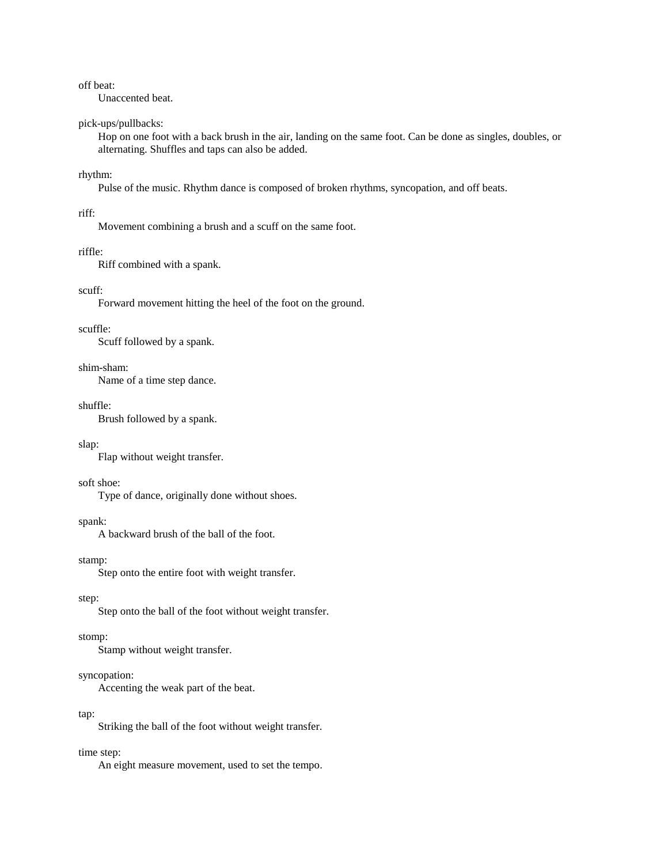## off beat:

Unaccented beat.

## pick-ups/pullbacks:

 Hop on one foot with a back brush in the air, landing on the same foot. Can be done as singles, doubles, or alternating. Shuffles and taps can also be added.

## rhythm:

Pulse of the music. Rhythm dance is composed of broken rhythms, syncopation, and off beats.

### riff:

Movement combining a brush and a scuff on the same foot.

## riffle:

Riff combined with a spank.

## scuff:

Forward movement hitting the heel of the foot on the ground.

## scuffle:

Scuff followed by a spank.

## shim-sham:

Name of a time step dance.

#### shuffle:

Brush followed by a spank.

#### slap:

Flap without weight transfer.

## soft shoe:

Type of dance, originally done without shoes.

## spank:

A backward brush of the ball of the foot.

#### stamp:

Step onto the entire foot with weight transfer.

## step:

Step onto the ball of the foot without weight transfer.

## stomp:

Stamp without weight transfer.

## syncopation:

Accenting the weak part of the beat.

## tap:

Striking the ball of the foot without weight transfer.

## time step:

An eight measure movement, used to set the tempo.